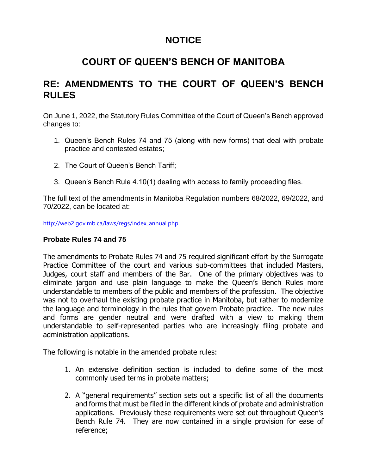# **NOTICE**

## **COURT OF QUEEN'S BENCH OF MANITOBA**

### **RE: AMENDMENTS TO THE COURT OF QUEEN'S BENCH RULES**

On June 1, 2022, the Statutory Rules Committee of the Court of Queen's Bench approved changes to:

- 1. Queen's Bench Rules 74 and 75 (along with new forms) that deal with probate practice and contested estates;
- 2. The Court of Queen's Bench Tariff;
- 3. Queen's Bench Rule 4.10(1) dealing with access to family proceeding files.

The full text of the amendments in Manitoba Regulation numbers 68/2022, 69/2022, and 70/2022, can be located at:

[http://web2.gov.mb.ca/laws/regs/index\\_annual.php](https://web2.gov.mb.ca/laws/regs/index_annual.php)

#### **Probate Rules 74 and 75**

The amendments to Probate Rules 74 and 75 required significant effort by the Surrogate Practice Committee of the court and various sub-committees that included Masters, Judges, court staff and members of the Bar. One of the primary objectives was to eliminate jargon and use plain language to make the Queen's Bench Rules more understandable to members of the public and members of the profession. The objective was not to overhaul the existing probate practice in Manitoba, but rather to modernize the language and terminology in the rules that govern Probate practice. The new rules and forms are gender neutral and were drafted with a view to making them understandable to self-represented parties who are increasingly filing probate and administration applications.

The following is notable in the amended probate rules:

- 1. An extensive definition section is included to define some of the most commonly used terms in probate matters;
- 2. A "general requirements" section sets out a specific list of all the documents and forms that must be filed in the different kinds of probate and administration applications. Previously these requirements were set out throughout Queen's Bench Rule 74. They are now contained in a single provision for ease of reference;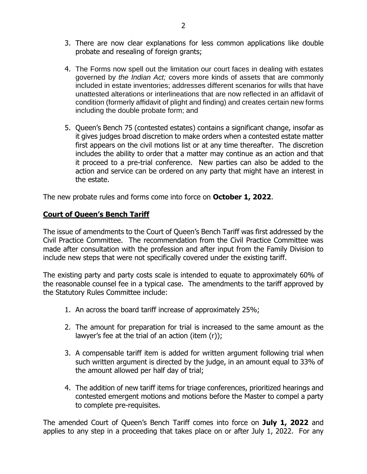- 3. There are now clear explanations for less common applications like double probate and resealing of foreign grants;
- 4. The Forms now spell out the limitation our court faces in dealing with estates governed by *the Indian Act;* covers more kinds of assets that are commonly included in estate inventories; addresses different scenarios for wills that have unattested alterations or interlineations that are now reflected in an affidavit of condition (formerly affidavit of plight and finding) and creates certain new forms including the double probate form; and
- 5. Queen's Bench 75 (contested estates) contains a significant change, insofar as it gives judges broad discretion to make orders when a contested estate matter first appears on the civil motions list or at any time thereafter. The discretion includes the ability to order that a matter may continue as an action and that it proceed to a pre-trial conference. New parties can also be added to the action and service can be ordered on any party that might have an interest in the estate.

The new probate rules and forms come into force on **October 1, 2022**.

#### **Court of Queen's Bench Tariff**

The issue of amendments to the Court of Queen's Bench Tariff was first addressed by the Civil Practice Committee. The recommendation from the Civil Practice Committee was made after consultation with the profession and after input from the Family Division to include new steps that were not specifically covered under the existing tariff.

The existing party and party costs scale is intended to equate to approximately 60% of the reasonable counsel fee in a typical case. The amendments to the tariff approved by the Statutory Rules Committee include:

- 1. An across the board tariff increase of approximately 25%;
- 2. The amount for preparation for trial is increased to the same amount as the lawyer's fee at the trial of an action (item (r));
- 3. A compensable tariff item is added for written argument following trial when such written argument is directed by the judge, in an amount equal to 33% of the amount allowed per half day of trial;
- 4. The addition of new tariff items for triage conferences, prioritized hearings and contested emergent motions and motions before the Master to compel a party to complete pre-requisites.

The amended Court of Queen's Bench Tariff comes into force on **July 1, 2022** and applies to any step in a proceeding that takes place on or after July 1, 2022. For any